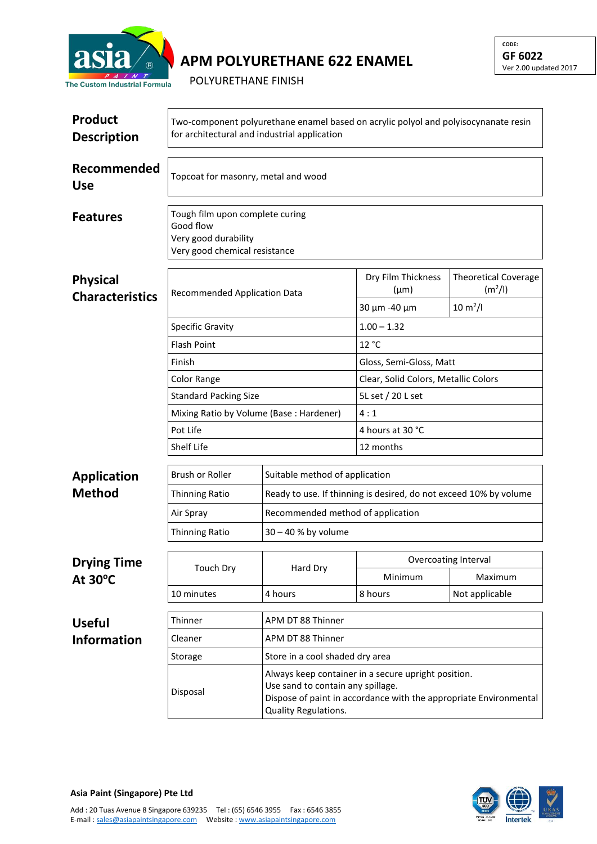

## **APM POLYURETHANE 622 ENAMEL**

POLYURETHANE FINISH

| <b>Product</b><br><b>Description</b>      | Two-component polyurethane enamel based on acrylic polyol and polyisocynanate resin<br>for architectural and industrial application |                                                                                                                                                                                       |                                                  |                                                                             |  |  |
|-------------------------------------------|-------------------------------------------------------------------------------------------------------------------------------------|---------------------------------------------------------------------------------------------------------------------------------------------------------------------------------------|--------------------------------------------------|-----------------------------------------------------------------------------|--|--|
| Recommended<br><b>Use</b>                 | Topcoat for masonry, metal and wood                                                                                                 |                                                                                                                                                                                       |                                                  |                                                                             |  |  |
| <b>Features</b>                           | Tough film upon complete curing<br>Good flow<br>Very good durability<br>Very good chemical resistance                               |                                                                                                                                                                                       |                                                  |                                                                             |  |  |
| <b>Physical</b><br><b>Characteristics</b> | Recommended Application Data<br><b>Specific Gravity</b>                                                                             |                                                                                                                                                                                       | Dry Film Thickness<br>$(\mu m)$<br>30 μm - 40 μm | <b>Theoretical Coverage</b><br>(m <sup>2</sup> /I)<br>$10 \, \text{m}^2$ /l |  |  |
|                                           |                                                                                                                                     |                                                                                                                                                                                       | $1.00 - 1.32$                                    |                                                                             |  |  |
|                                           | <b>Flash Point</b>                                                                                                                  |                                                                                                                                                                                       | 12 °C                                            |                                                                             |  |  |
|                                           | Finish                                                                                                                              |                                                                                                                                                                                       | Gloss, Semi-Gloss, Matt                          |                                                                             |  |  |
|                                           | Color Range                                                                                                                         |                                                                                                                                                                                       | Clear, Solid Colors, Metallic Colors             |                                                                             |  |  |
|                                           | <b>Standard Packing Size</b>                                                                                                        |                                                                                                                                                                                       | 5L set / 20 L set                                |                                                                             |  |  |
|                                           | Mixing Ratio by Volume (Base: Hardener)                                                                                             |                                                                                                                                                                                       | 4:1                                              |                                                                             |  |  |
|                                           | Pot Life                                                                                                                            |                                                                                                                                                                                       | 4 hours at 30 °C                                 |                                                                             |  |  |
|                                           | Shelf Life                                                                                                                          |                                                                                                                                                                                       | 12 months                                        |                                                                             |  |  |
| <b>Application</b>                        | Brush or Roller                                                                                                                     | Suitable method of application                                                                                                                                                        |                                                  |                                                                             |  |  |
| <b>Method</b>                             | <b>Thinning Ratio</b>                                                                                                               | Ready to use. If thinning is desired, do not exceed 10% by volume                                                                                                                     |                                                  |                                                                             |  |  |
|                                           | Air Spray                                                                                                                           |                                                                                                                                                                                       | Recommended method of application                |                                                                             |  |  |
|                                           | <b>Thinning Ratio</b>                                                                                                               | 30 - 40 % by volume                                                                                                                                                                   |                                                  |                                                                             |  |  |
| <b>Drying Time</b><br>At 30°C             | Touch Dry                                                                                                                           | Hard Dry                                                                                                                                                                              | Overcoating Interval                             |                                                                             |  |  |
|                                           |                                                                                                                                     |                                                                                                                                                                                       | Minimum                                          | Maximum                                                                     |  |  |
|                                           | 10 minutes                                                                                                                          | 4 hours                                                                                                                                                                               | 8 hours                                          | Not applicable                                                              |  |  |
| <b>Useful</b>                             | Thinner                                                                                                                             | APM DT 88 Thinner                                                                                                                                                                     |                                                  |                                                                             |  |  |
| <b>Information</b>                        | Cleaner                                                                                                                             | APM DT 88 Thinner                                                                                                                                                                     |                                                  |                                                                             |  |  |
|                                           | Store in a cool shaded dry area<br>Storage                                                                                          |                                                                                                                                                                                       |                                                  |                                                                             |  |  |
|                                           | Disposal                                                                                                                            | Always keep container in a secure upright position.<br>Use sand to contain any spillage.<br>Dispose of paint in accordance with the appropriate Environmental<br>Quality Regulations. |                                                  |                                                                             |  |  |